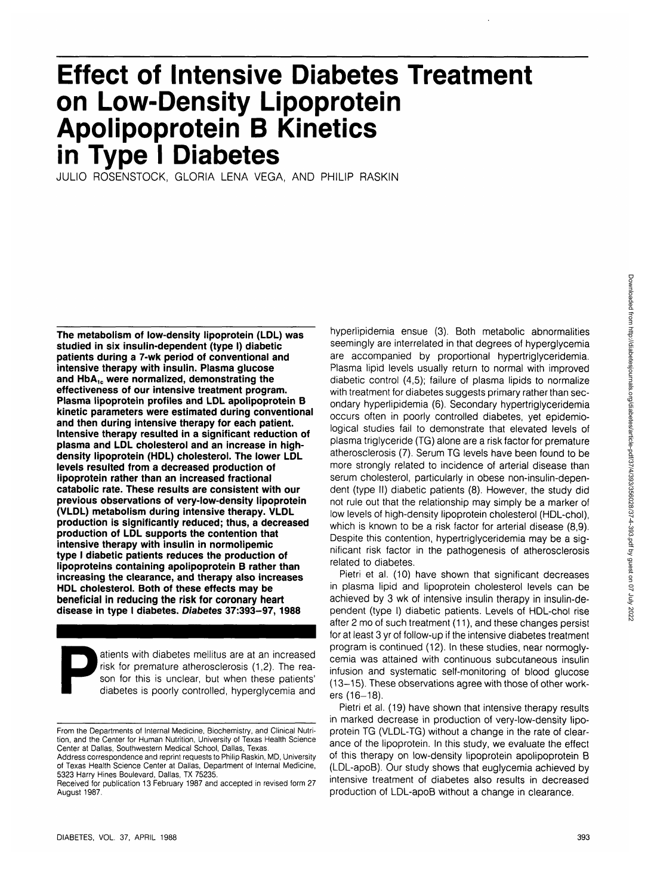# **Effect of Intensive Diabetes Treatment on Low-Density Lipoprotein Apolipoprotein B Kinetics in Type I Diabetes**

JULIO ROSENSTOCK, GLORIA LENA VEGA, AND PHILIP RASKIN

**The metabolism of low-density lipoprotein (LDL) was studied in six insulin-dependent (type I) diabetic patients during a 7-wk period of conventional and intensive therapy with insulin. Plasma glucose** and HbA<sub>1c</sub> were normalized, demonstrating the **effectiveness of our intensive treatment program. Plasma lipoprotein profiles and LDL apolipoprotein B kinetic parameters were estimated during conventional and then during intensive therapy for each patient. Intensive therapy resulted in a significant reduction of plasma and LDL cholesterol and an increase in highdensity lipoprotein (HDL) cholesterol. The lower LDL levels resulted from a decreased production of lipoprotein rather than an increased fractional catabolic rate. These results are consistent with our previous observations of very-low-density lipoprotein (VLDL) metabolism during intensive therapy. VLDL production is significantly reduced; thus, a decreased production of LDL supports the contention that intensive therapy with insulin in normolipemic type I diabetic patients reduces the production of lipoproteins containing apolipoprotein B rather than increasing the clearance, and therapy also increases HDL cholesterol. Both of these effects may be beneficial in reducing the risk for coronary heart disease in type I diabetes. Diabetes 37:393-97, 1988**

atients with diabetes mellitus are at an increased<br>risk for premature atherosclerosis (1,2). The reason for this is unclear, but when these patients'<br>diabetes is poorly controlled, hyperglycemia and risk for premature atherosclerosis (1,2). The reason for this is unclear, but when these patients' diabetes is poorly controlled, hyperglycemia and

hyperlipidemia ensue (3). Both metabolic abnormalities seemingly are interrelated in that degrees of hyperglycemia are accompanied by proportional hypertriglyceridemia. Plasma lipid levels usually return to normal with improved diabetic control (4,5); failure of plasma lipids to normalize with treatment for diabetes suggests primary rather than secondary hyperlipidemia (6). Secondary hypertriglyceridemia occurs often in poorly controlled diabetes, yet epidemiological studies fail to demonstrate that elevated levels of plasma triglyceride (TG) alone are a risk factor for premature atherosclerosis (7). Serum TG levels have been found to be more strongly related to incidence of arterial disease than serum cholesterol, particularly in obese non-insulin-dependent (type II) diabetic patients (8). However, the study did not rule out that the relationship may simply be a marker of low levels of high-density lipoprotein cholesterol (HDL-chol), which is known to be a risk factor for arterial disease (8,9). Despite this contention, hypertriglyceridemia may be a significant risk factor in the pathogenesis of atherosclerosis related to diabetes.

Pietri et al. (10) have shown that significant decreases in plasma lipid and lipoprotein cholesterol levels can be achieved by 3 wk of intensive insulin therapy in insulin-dependent (type I) diabetic patients. Levels of HDL-chol rise after 2 mo of such treatment (11), and these changes persist for at least 3 yr of follow-up if the intensive diabetes treatment program is continued (12). In these studies, near normoglycemia was attained with continuous subcutaneous insulin infusion and systematic self-monitoring of blood glucose (13-15). These observations agree with those of other workers (16-18).

Pietri et al. (19) have shown that intensive therapy results in marked decrease in production of very-low-density lipoprotein TG (VLDL-TG) without a change in the rate of clearance of the lipoprotein. In this study, we evaluate the effect of this therapy on low-density lipoprotein apolipoprotein B (LDL-apoB). Our study shows that euglycemia achieved by intensive treatment of diabetes also results in decreased production of LDL-apoB without a change in clearance.

From the Departments of Internal Medicine, Biochemistry, and Clinical Nutrition, and the Center for Human Nutrition, University of Texas Health Science Center at Dallas, Southwestern Medical School, Dallas, Texas.

Address correspondence and reprint requests to Philip Raskin, MD, University of Texas Health Science Center at Dallas, Department of Internal Medicine, 5323 Harry Hines Boulevard, Dallas, TX 75235.

Received for publication 13 February 1987 and accepted in revised form 27 August 1987.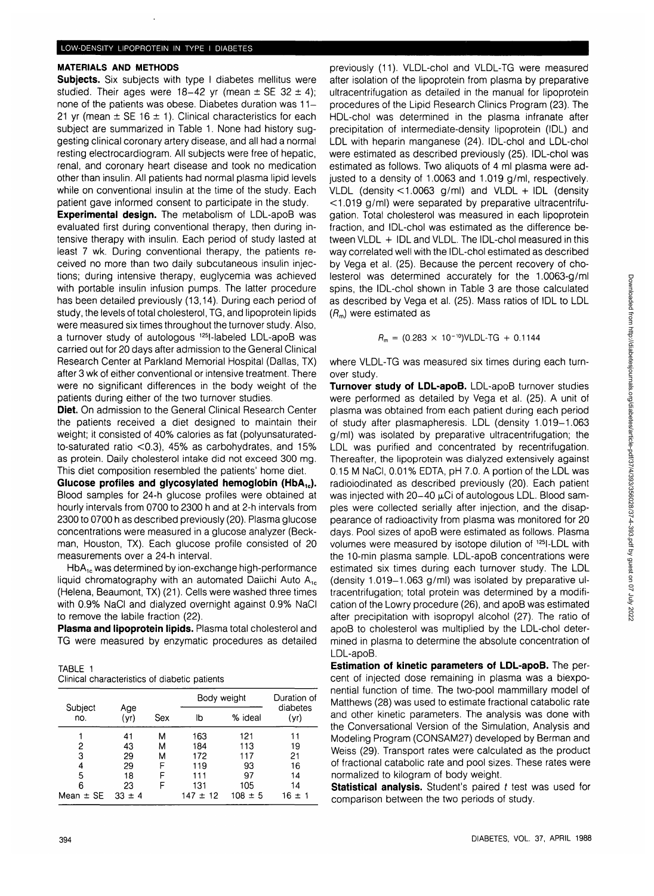# **MATERIALS AND METHODS**

**Subjects.** Six subjects with type I diabetes mellitus were studied. Their ages were 18-42 yr (mean  $\pm$  SE 32  $\pm$  4); none of the patients was obese. Diabetes duration was 11-21 yr (mean  $\pm$  SE 16  $\pm$  1). Clinical characteristics for each subject are summarized in Table 1. None had history suggesting clinical coronary artery disease, and all had a normal resting electrocardiogram. All subjects were free of hepatic, renal, and coronary heart disease and took no medication other than insulin. All patients had normal plasma lipid levels while on conventional insulin at the time of the study. Each patient gave informed consent to participate in the study.

**Experimental design.** The metabolism of LDL-apoB was evaluated first during conventional therapy, then during intensive therapy with insulin. Each period of study lasted at least 7 wk. During conventional therapy, the patients received no more than two daily subcutaneous insulin injections; during intensive therapy, euglycemia was achieved with portable insulin infusion pumps. The latter procedure has been detailed previously (13,14). During each period of study, the levels of total cholesterol, TG, and lipoprotein lipids were measured six times throughout the turnover study. Also, a turnover study of autologous 125l-labeled LDL-apoB was carried out for 20 days after admission to the General Clinical Research Center at Parkland Memorial Hospital (Dallas, TX) after 3 wk of either conventional or intensive treatment. There were no significant differences in the body weight of the patients during either of the two turnover studies.

**Diet.** On admission to the General Clinical Research Center the patients received a diet designed to maintain their weight; it consisted of 40% calories as fat (polyunsaturatedto-saturated ratio <0.3), 45% as carbohydrates, and 15% as protein. Daily cholesterol intake did not exceed 300 mg. This diet composition resembled the patients' home diet.

Glucose profiles and glycosylated hemoglobin (HbA<sub>1c</sub>). Blood samples for 24-h glucose profiles were obtained at hourly intervals from 0700 to 2300 h and at 2-h intervals from 2300 to 0700 h as described previously (20). Plasma glucose concentrations were measured in a glucose analyzer (Beckman, Houston, TX). Each glucose profile consisted of 20 measurements over a 24-h interval.

 $HbA_{1c}$  was determined by ion-exchange high-performance liquid chromatography with an automated Daiichi Auto  $A_{1c}$ (Helena, Beaumont, TX) (21). Cells were washed three times with 0.9% NaCI and dialyzed overnight against 0.9% NaCI to remove the labile fraction (22).

**Plasma and lipoprotein lipids.** Plasma total cholesterol and TG were measured by enzymatic procedures as detailed

| TABLE 1 |                                               |  |  |
|---------|-----------------------------------------------|--|--|
|         | Clinical characteristics of diabetic patients |  |  |

|                |             |     | Body weight  |             | Duration of<br>diabetes |
|----------------|-------------|-----|--------------|-------------|-------------------------|
| Subject<br>no. | Age<br>(yr) | Sex | lb           | % ideal     | (yr)                    |
|                | 41          | м   | 163          | 121         | 11                      |
| 2              | 43          | м   | 184          | 113         | 19                      |
| 3              | 29          | М   | 172          | 117         | 21                      |
| 4              | 29          | F   | 119          | 93          | 16                      |
| 5              | 18          | F   | 111          | 97          | 14                      |
| 6              | 23          | F   | 131          | 105         | 14                      |
| Mean $\pm$ SE  | $33 \pm 4$  |     | $147 \pm 12$ | $108 \pm 5$ | $16 \pm 1$              |

previously (11). VLDL-chol and VLDL-TG were measured after isolation of the lipoprotein from plasma by preparative ultracentrifugation as detailed in the manual for lipoprotein procedures of the Lipid Research Clinics Program (23). The HDL-chol was determined in the plasma infranate after precipitation of intermediate-density lipoprotein (IDL) and LDL with heparin manganese (24). IDL-chol and LDL-chol were estimated as described previously (25). IDL-chol was estimated as follows. Two aliquots of 4 ml plasma were adjusted to a density of 1.0063 and 1.019 g/ml, respectively. VLDL (density < 1.0063 g/ml) and VLDL + IDL (density < 1.019 g/ml) were separated by preparative ultracentrifugation. Total cholesterol was measured in each lipoprotein fraction, and IDL-chol was estimated as the difference between VLDL + IDL and VLDL. The IDL-chol measured in this way correlated well with the IDL-chol estimated as described by Vega et al. (25). Because the percent recovery of cholesterol was determined accurately for the 1.0063-g/ml spins, the IDL-chol shown in Table 3 are those calculated as described by Vega et al. (25). Mass ratios of IDL to LDL  $(R<sub>m</sub>)$  were estimated as

$$
R_{\rm m} = (0.283 \times 10^{-10})\text{VLDL-TG} + 0.1144
$$

where VLDL-TG was measured six times during each turnover study.

**Turnover study of LDL-apoB.** LDL-apoB turnover studies were performed as detailed by Vega et al. (25). A unit of plasma was obtained from each patient during each period of study after plasmapheresis. LDL (density 1.019-1.063 g/ml) was isolated by preparative ultracentrifugation; the LDL was purified and concentrated by recentrifugation. Thereafter, the lipoprotein was dialyzed extensively against 0.15 M NaCI, 0.01% EDTA, pH 7.0. A portion of the LDL was radioiodinated as described previously (20). Each patient was injected with  $20-40 \mu$ Ci of autologous LDL. Blood samples were collected serially after injection, and the disappearance of radioactivity from plasma was monitored for 20 days. Pool sizes of apoB were estimated as follows. Plasma volumes were measured by isotope dilution of <sup>125</sup>I-LDL with the 10-min plasma sample. LDL-apoB concentrations were estimated six times during each turnover study. The LDL (density  $1.019-1.063$  g/ml) was isolated by preparative ultracentrifugation; total protein was determined by a modification of the Lowry procedure (26), and apoB was estimated after precipitation with isopropyl alcohol (27). The ratio of apoB to cholesterol was multiplied by the LDL-chol determined in plasma to determine the absolute concentration of LDL-apoB.

**Estimation of kinetic parameters of LDL-apoB.** The percent of injected dose remaining in plasma was a biexponential function of time. The two-pool mammillary model of Matthews (28) was used to estimate fractional catabolic rate and other kinetic parameters. The analysis was done with the Conversational Version of the Simulation, Analysis and Modeling Program (CONSAM27) developed by Berman and Weiss (29). Transport rates were calculated as the product of fractional catabolic rate and pool sizes. These rates were normalized to kilogram of body weight.

**Statistical analysis.** Student's paired t test was used for comparison between the two periods of study.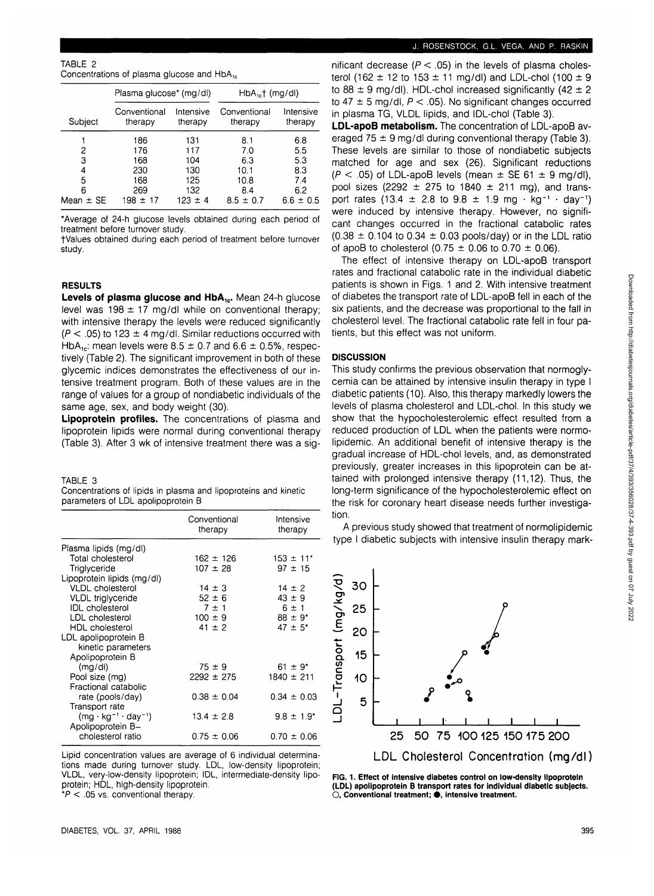### TABLE 2

| Concentrations of plasma glucose and HbA <sub>1c</sub> |  |  |  |  |
|--------------------------------------------------------|--|--|--|--|
|--------------------------------------------------------|--|--|--|--|

|               | Plasma glucose* (mg/dl) |                      | $HbA_{1c}$ (mg/dl)      |                      |  |
|---------------|-------------------------|----------------------|-------------------------|----------------------|--|
| Subject       | Conventional<br>therapy | Intensive<br>therapy | Conventional<br>therapy | Intensive<br>therapy |  |
|               | 186                     | 131                  | 8.1                     | 6.8                  |  |
| 2             | 176                     | 117                  | 7.0                     | 5.5                  |  |
| 3             | 168                     | 104                  | 6.3                     | 5.3                  |  |
| 4             | 230                     | 130                  | 10.1                    | 8.3                  |  |
| 5             | 168                     | 125                  | 10.8                    | 7.4                  |  |
| 6             | 269                     | 132                  | 8.4                     | 6.2                  |  |
| Mean $\pm$ SE | 198 ± 17                | 123 ± 4              | $8.5 \pm 0.7$           | $6.6 \pm 0.5$        |  |

\*Average of 24-h glucose levels obtained during each period of treatment before turnover study.

fValues obtained during each period of treatment before turnover study.

#### **RESULTS**

Levels of plasma glucose and HbA<sub>1c</sub>. Mean 24-h glucose level was  $198 \pm 17$  mg/dl while on conventional therapy; with intensive therapy the levels were reduced significantly  $(P < .05)$  to 123  $\pm$  4 mg/dl. Similar reductions occurred with HbA<sub>1c</sub>: mean levels were  $8.5 \pm 0.7$  and  $6.6 \pm 0.5$ %, respectively (Table 2). The significant improvement in both of these glycemic indices demonstrates the effectiveness of our intensive treatment program. Both of these values are in the range of values for a group of nondiabetic individuals of the same age, sex, and body weight (30).

**Lipoprotein profiles.** The concentrations of plasma and lipoprotein lipids were normal during conventional therapy (Table 3). After 3 wk of intensive treatment there was a sig-

# TABLE 3

Concentrations of lipids in plasma and lipoproteins and kinetic parameters of LDL apolipoprotein B

|                                     | Conventional<br>therapy | Intensive<br>therapy      |
|-------------------------------------|-------------------------|---------------------------|
| Plasma lipids (mg/dl)               |                         |                           |
| Total cholesterol                   | $162 \pm 126$           | $153 \pm 11$ <sup>*</sup> |
| Triglyceride                        | $107 \pm 28$            | $97 + 15$                 |
| Lipoprotein lipids (mg/dl)          |                         |                           |
| <b>VLDL</b> cholesterol             | $14 \pm 3$              | $14 \pm 2$                |
| <b>VLDL</b> triglyceride            | $52 \pm 6$              | $43 \pm 9$                |
| <b>IDL</b> cholesterol              | $7 \pm 1$               | $6 \pm 1$                 |
| LDL cholesterol                     | $100 \pm 9$             | $88 \pm 9^*$              |
| HDL cholesterol                     | $41 \pm 2$              | $47 \pm 5^*$              |
| LDL apolipoprotein B                |                         |                           |
| kinetic parameters                  |                         |                           |
| Apolipoprotein B                    |                         |                           |
| (mq/d)                              | $75 \pm 9$              | $61 \pm 9^*$              |
| Pool size (mg)                      | $2292 \pm 275$          | $1840 \pm 211$            |
| Fractional catabolic                |                         |                           |
| rate (pools/day)                    | $0.38 \pm 0.04$         | $0.34 \pm 0.03$           |
| Transport rate                      |                         |                           |
| $(mg \cdot kg^{-1} \cdot day^{-1})$ | $13.4 \pm 2.8$          | $9.8 \pm 1.9^*$           |
| Apolipoprotein B-                   |                         |                           |
| cholesterol ratio                   | $0.75 \pm 0.06$         | $0.70 \pm 0.06$           |

Lipid concentration values are average of 6 individual determinations made during turnover study. LDL, low-density lipoprotein; VLDL, very-low-density lipoprotein; IDL, intermediate-density lipoprotein; HDL, high-density lipoprotein.  $*P < 0.05$  vs. conventional therapy

nificant decrease ( $P < .05$ ) in the levels of plasma cholesterol (162  $\pm$  12 to 153  $\pm$  11 mg/dl) and LDL-chol (100  $\pm$  9 to  $88 \pm 9$  mg/dl). HDL-chol increased significantly (42  $\pm$  2 to  $47 \pm 5$  mg/dl,  $P < .05$ ). No significant changes occurred in plasma TG, VLDL lipids, and IDL-chol (Table 3).

**LDL-apoB metabolism.** The concentration of LDL-apoB averaged 75  $\pm$  9 mg/dl during conventional therapy (Table 3). These levels are similar to those of nondiabetic subjects matched for age and sex (26). Significant reductions  $(P < .05)$  of LDL-apoB levels (mean  $\pm$  SE 61  $\pm$  9 mg/dl), pool sizes (2292  $\pm$  275 to 1840  $\pm$  211 mg), and transport rates (13.4  $\pm$  2.8 to 9.8  $\pm$  1.9 mg · kg<sup>-1</sup> · day<sup>-1</sup>) were induced by intensive therapy. However, no significant changes occurred in the fractional catabolic rates  $(0.38 \pm 0.104$  to  $0.34 \pm 0.03$  pools/day) or in the LDL ratio of apoB to cholesterol  $(0.75 \pm 0.06)$  to 0.70  $\pm$  0.06).

The effect of intensive therapy on LDL-apoB transport rates and fractional catabolic rate in the individual diabetic patients is shown in Figs. 1 and 2. With intensive treatment of diabetes the transport rate of LDL-apoB fell in each of the six patients, and the decrease was proportional to the fall in cholesterol level. The fractional catabolic rate fell in four patients, but this effect was not uniform.

## **DISCUSSION**

This study confirms the previous observation that normoglycemia can be attained by intensive insulin therapy in type I diabetic patients (10). Also, this therapy markedly lowers the levels of plasma cholesterol and LDL-chol. In this study we show that the hypocholesterolemic effect resulted from a reduced production of LDL when the patients were normolipidemic. An additional benefit of intensive therapy is the gradual increase of HDL-chol levels, and, as demonstrated previously, greater increases in this lipoprotein can be attained with prolonged intensive therapy (11,12). Thus, the long-term significance of the hypocholesterolemic effect on the risk for coronary heart disease needs further investigation.

A previous study showed that treatment of normolipidemic type I diabetic subjects with intensive insulin therapy mark-



**FIG. 1. Effect of intensive diabetes control on low-density lipoprotein (LDL) apolipoprotein B transport rates for individual diabetic subjects. O, Conventional treatment; • , intensive treatment.**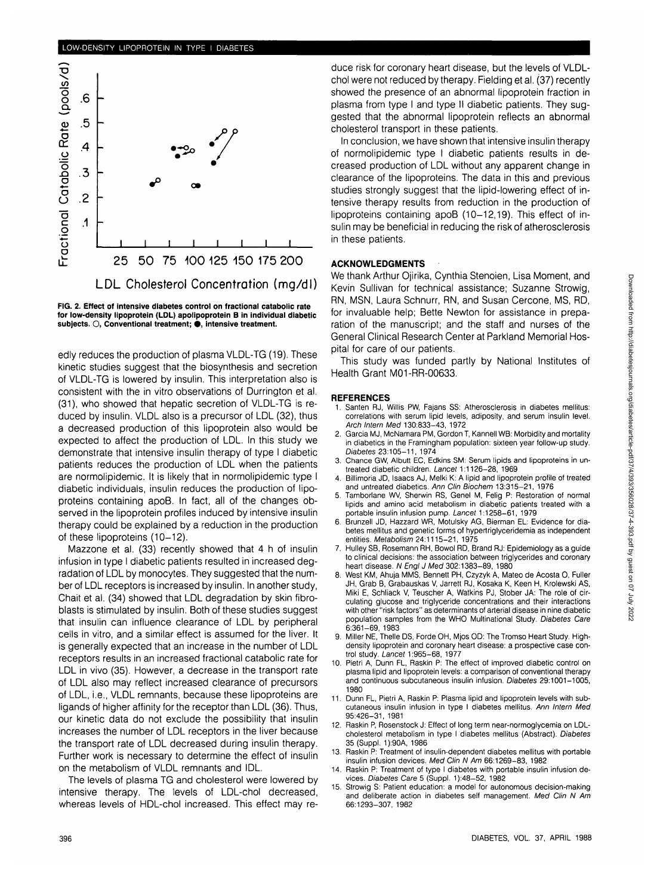## LOW-DENSITY LIPOPROTEIN IN TYPE I DIABETES



**FIG. 2. Effect of intensive diabetes control on fractional catabolic rate for low-density lipoprotein (LDL) apolipoprotein B in individual diabetic subjects. O, Conventional treatment; • , intensive treatment.**

edly reduces the production of plasma VLDL-TG (19). These kinetic studies suggest that the biosynthesis and secretion of VLDL-TG is lowered by insulin. This interpretation also is consistent with the in vitro observations of Durrington et al. (31), who showed that hepatic secretion of VLDL-TG is reduced by insulin. VLDL also is a precursor of LDL (32), thus a decreased production of this lipoprotein also would be expected to affect the production of LDL. In this study we demonstrate that intensive insulin therapy of type I diabetic patients reduces the production of LDL when the patients are normolipidemic. It is likely that in normolipidemic type I diabetic individuals, insulin reduces the production of lipoproteins containing apoB. In fact, all of the changes observed in the lipoprotein profiles induced by intensive insulin therapy could be explained by a reduction in the production of these lipoproteins (10-12).

Mazzone et al. (33) recently showed that 4 h of insulin infusion in type I diabetic patients resulted in increased degradation of LDL by monocytes. They suggested that the number of LDL receptors is increased by insulin. In another study, Chait et al. (34) showed that LDL degradation by skin fibroblasts is stimulated by insulin. Both of these studies suggest that insulin can influence clearance of LDL by peripheral cells in vitro, and a similar effect is assumed for the liver. It is generally expected that an increase in the number of LDL receptors results in an increased fractional catabolic rate for LDL in vivo (35). However, a decrease in the transport rate of LDL also may reflect increased clearance of precursors of LDL, i.e., VLDL remnants, because these lipoproteins are ligands of higher affinity for the receptor than LDL (36). Thus, our kinetic data do not exclude the possibility that insulin increases the number of LDL receptors in the liver because the transport rate of LDL decreased during insulin therapy. Further work is necessary to determine the effect of insulin on the metabolism of VLDL remnants and IDL.

The levels of plasma TG and cholesterol were lowered by intensive therapy. The levels of LDL-chol decreased, whereas levels of HDL-chol increased. This effect may re-

duce risk for coronary heart disease, but the levels of VLDLchol were not reduced by therapy. Fielding et al. (37) recently showed the presence of an abnormal lipoprotein fraction in plasma from type I and type II diabetic patients. They suggested that the abnormal lipoprotein reflects an abnormal cholesterol transport in these patients.

In conclusion, we have shown that intensive insulin therapy of normolipidemic type I diabetic patients results in decreased production of LDL without any apparent change in clearance of the lipoproteins. The data in this and previous studies strongly suggest that the lipid-lowering effect of intensive therapy results from reduction in the production of lipoproteins containing apoB (10-12,19). This effect of insulin may be beneficial in reducing the risk of atherosclerosis in these patients.

# **ACKNOWLEDGMENTS**

We thank Arthur Ojirika, Cynthia Stenoien, Lisa Moment, and Kevin Sullivan for technical assistance; Suzanne Strowig, RN, MSN, Laura Schnurr, RN, and Susan Cercone, MS, RD, for invaluable help; Bette Newton for assistance in preparation of the manuscript; and the staff and nurses of the General Clinical Research Center at Parkland Memorial Hospital for care of our patients.

This study was funded partly by National Institutes of Health Grant M01-RR-00633.

#### **REFERENCES**

- Santen RJ, Willis PW, Fajans SS: Atherosclerosis in diabetes mellitus: correlations with serum lipid levels, adiposity, and serum insulin level. Arch Intern Med 130:833-43, 1972
- 2. Garcia MJ, McNamara PM, Gordon T, Kannell WB: Morbidity and mortality in diabetics in the Framingham population: sixteen year follow-up study. Diabetes 23:105-11, 1974
- 3. Chance GW, Albutt EC, Edkins SM: Serum lipids and lipoproteins in untreated diabetic children. Lancet 1:1126-28, 1969
- 4. Billimoria JD, Isaacs AJ, Melki K: A lipid and lipoprotein profile of treated and untreated diabetics. Ann Clin Biochem 13:315-21, 1976
- 5. Tamborlane WV, Sherwin RS, Genel M, Felig P: Restoration of normal lipids and amino acid metabolism in diabetic patients treated with a portable insulin infusion pump. Lancet 1:1258-61, 1979
- 6. Brunzell JD, Hazzard WR, Motulsky AG, Bierman EL: Evidence for diabetes mellitus and genetic forms of hypertriglyceridemia as independent entities. Metabolism 24:1115-21, 1975
- 7. Hulley SB, Rosemann RH, Bowol RD, Brand RJ: Epidemiology as a guide to clinical decisions: the association between triglycerides and coronary heart disease. N Engl J Med 302:1383-89, 1980
- 8. West KM, Ahuja MMS, Bennett PH, Czyzyk A, Mateo de Acosta 0, Fuller JH, Grab B, Grabauskas V, Jarrett RJ, Kosaka K, Keen H, Krolewski AS, Miki E, Schliack V, Teuscher A, Watkins PJ, Stober JA: The role of circulating glucose and triglyceride concentrations and their interactions with other "risk factors" as determinants of arterial disease in nine diabetic population samples from the WHO Multinational Study. Diabetes Care 6:361-69, 1983
- 9. Miller NE, Thelle DS, Forde OH, Mjos OD: The Tromso Heart Study. Highdensity lipoprotein and coronary heart disease: a prospective case control study. Lancet 1:965-68, 1977
- 10. Pietri A, Dunn FL, Raskin P: The effect of improved diabetic control on plasma lipid and lipoprotein levels: a comparison of conventional therapy and continuous subcutaneous insulin infusion. Diabetes 29:1001-1005, 1980
- 11. Dunn FL, Pietri A, Raskin P: Plasma lipid and lipoprotein levels with subcutaneous insulin infusion in type I diabetes mellitus. Ann Intern Med 95:426-31, 1981
- 12. Raskin P, Rosenstock J: Effect of long term near-normoglycemia on LDLcholesterol metabolism in type I diabetes mellitus (Abstract). Diabetes 35(Suppl. 1):90A, 1986
- 13. Raskin P: Treatment of insulin-dependent diabetes mellitus with portable insulin infusion devices. Med Clin N Am 66:1269-83, 1982
- 14. Raskin P: Treatment of type I diabetes with portable insulin infusion devices. Diabetes Care 5 (Suppl. 1):48-52, 1982
- 15. Strowig S: Patient education: a model for autonomous decision-making and deliberate action in diabetes self management. Med Clin N Am 66:1293-307, 1982